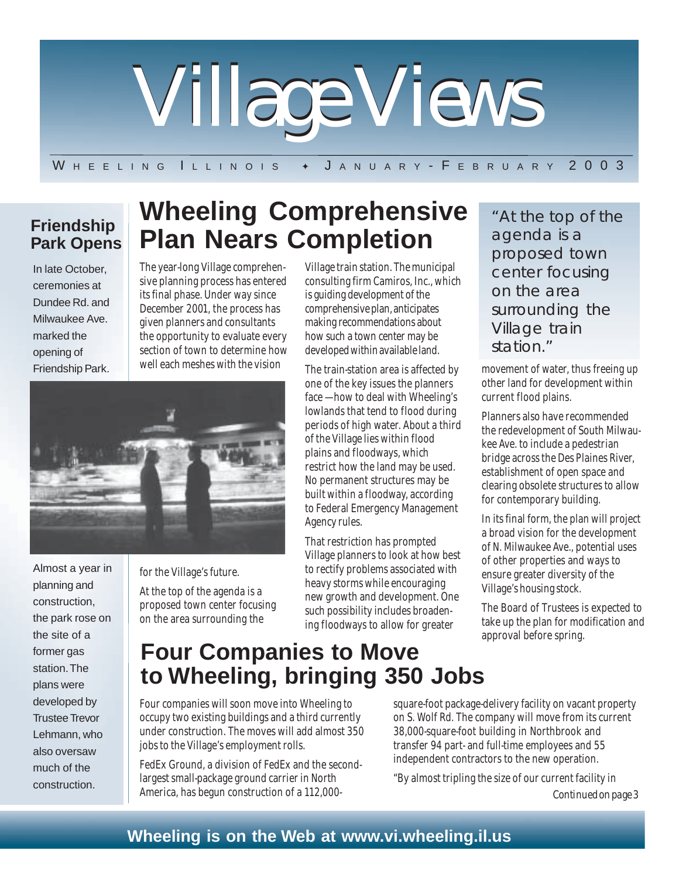

W H E E L I N G I L L I N O I S & J A N U A R Y - F E B R U A R Y 2003

**Wheeling Comprehensive**

### **Friendship Park Opens**

In late October, ceremonies at Dundee Rd. and Milwaukee Ave. marked the opening of Friendship Park. **Plan Nears Completion** The year-long Village comprehensive planning process has entered its final phase. Under way since December 2001, the process has given planners and consultants the opportunity to evaluate every

section of town to determine how well each meshes with the vision

Almost a year in planning and construction, the park rose on the site of a former gas station. The plans were developed by Trustee Trevor Lehmann, who also oversaw much of the construction.

for the Village's future.

At the top of the agenda is a proposed town center focusing on the area surrounding the

Village train station. The municipal consulting firm Camiros, Inc., which is guiding development of the comprehensive plan, anticipates making recommendations about how such a town center may be developed within available land.

The train-station area is affected by one of the key issues the planners face — how to deal with Wheeling's lowlands that tend to flood during periods of high water. About a third of the Village lies within flood plains and floodways, which restrict how the land may be used. No permanent structures may be built within a floodway, according to Federal Emergency Management Agency rules.

That restriction has prompted Village planners to look at how best to rectify problems associated with heavy storms while encouraging new growth and development. One such possibility includes broadening floodways to allow for greater

"At the top of the agenda is a proposed town center focusing on the area surrounding the Village train station."

movement of water, thus freeing up other land for development within current flood plains.

Planners also have recommended the redevelopment of South Milwaukee Ave. to include a pedestrian bridge across the Des Plaines River, establishment of open space and clearing obsolete structures to allow for contemporary building.

In its final form, the plan will project a broad vision for the development of N. Milwaukee Ave., potential uses of other properties and ways to ensure greater diversity of the Village's housing stock.

The Board of Trustees is expected to take up the plan for modification and approval before spring.

# **Four Companies to Move to Wheeling, bringing 350 Jobs**

Four companies will soon move into Wheeling to occupy two existing buildings and a third currently under construction. The moves will add almost 350 jobs to the Village's employment rolls.

FedEx Ground, a division of FedEx and the secondlargest small-package ground carrier in North America, has begun construction of a 112,000square-foot package-delivery facility on vacant property on S. Wolf Rd. The company will move from its current 38,000-square-foot building in Northbrook and transfer 94 part- and full-time employees and 55 independent contractors to the new operation.

*Continued on page 3* "By almost tripling the size of our current facility in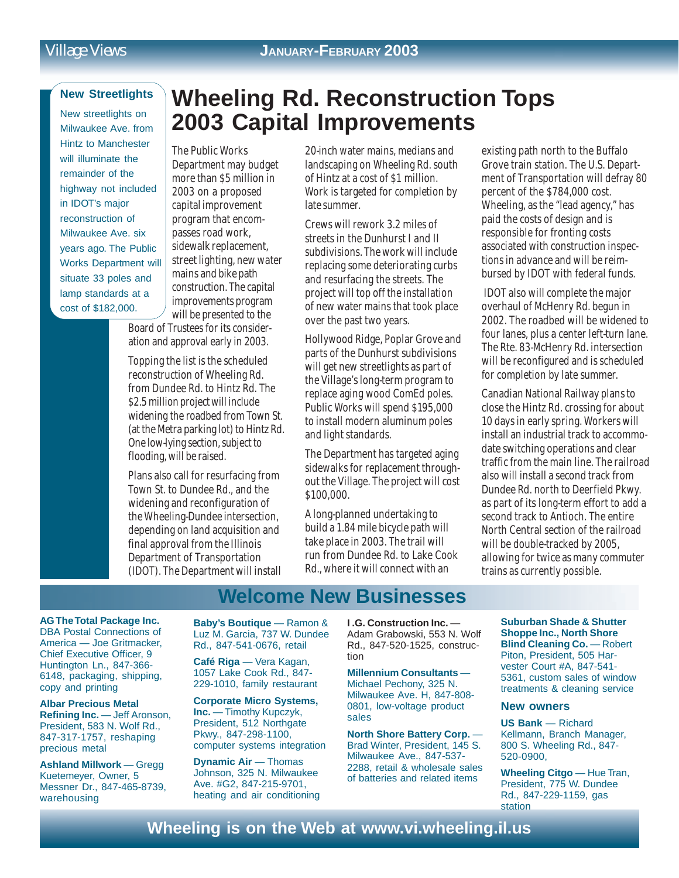#### **New Streetlights**

New streetlights on Milwaukee Ave. from Hintz to Manchester will illuminate the remainder of the highway not included in IDOT's major reconstruction of Milwaukee Ave. six years ago. The Public Works Department will situate 33 poles and lamp standards at a cost of \$182,000.

# **Wheeling Rd. Reconstruction Tops 2003 Capital Improvements**

The Public Works Department may budget more than \$5 million in 2003 on a proposed capital improvement program that encompasses road work, sidewalk replacement, street lighting, new water mains and bike path construction. The capital improvements program will be presented to the

Board of Trustees for its consideration and approval early in 2003.

Topping the list is the scheduled reconstruction of Wheeling Rd. from Dundee Rd. to Hintz Rd. The \$2.5 million project will include widening the roadbed from Town St. (at the Metra parking lot) to Hintz Rd. One low-lying section, subject to flooding, will be raised.

Plans also call for resurfacing from Town St. to Dundee Rd., and the widening and reconfiguration of the Wheeling-Dundee intersection, depending on land acquisition and final approval from the Illinois Department of Transportation (IDOT). The Department will install

20-inch water mains, medians and landscaping on Wheeling Rd. south of Hintz at a cost of \$1 million. Work is targeted for completion by late summer.

Crews will rework 3.2 miles of streets in the Dunhurst I and II subdivisions. The work will include replacing some deteriorating curbs and resurfacing the streets. The project will top off the installation of new water mains that took place over the past two years.

Hollywood Ridge, Poplar Grove and parts of the Dunhurst subdivisions will get new streetlights as part of the Village's long-term program to replace aging wood ComEd poles. Public Works will spend \$195,000 to install modern aluminum poles and light standards.

The Department has targeted aging sidewalks for replacement throughout the Village. The project will cost \$100,000.

A long-planned undertaking to build a 1.84 mile bicycle path will take place in 2003. The trail will run from Dundee Rd. to Lake Cook Rd., where it will connect with an

existing path north to the Buffalo Grove train station. The U.S. Department of Transportation will defray 80 percent of the \$784,000 cost. Wheeling, as the "lead agency," has paid the costs of design and is responsible for fronting costs associated with construction inspections in advance and will be reimbursed by IDOT with federal funds.

 IDOT also will complete the major overhaul of McHenry Rd. begun in 2002. The roadbed will be widened to four lanes, plus a center left-turn lane. The Rte. 83-McHenry Rd. intersection will be reconfigured and is scheduled for completion by late summer.

Canadian National Railway plans to close the Hintz Rd. crossing for about 10 days in early spring. Workers will install an industrial track to accommodate switching operations and clear traffic from the main line. The railroad also will install a second track from Dundee Rd. north to Deerfield Pkwy. as part of its long-term effort to add a second track to Antioch. The entire North Central section of the railroad will be double-tracked by 2005, allowing for twice as many commuter trains as currently possible.

### **Welcome New Businesses**

**AG The Total Package Inc.** DBA Postal Connections of America — Joe Gritmacker, Chief Executive Officer, 9 Huntington Ln., 847-366- 6148, packaging, shipping, copy and printing

**Albar Precious Metal Refining Inc.** — Jeff Aronson, President, 583 N. Wolf Rd., 847-317-1757, reshaping precious metal

**Ashland Millwork** — Gregg Kuetemeyer, Owner, 5 Messner Dr., 847-465-8739, warehousing

**Baby's Boutique** — Ramon & Luz M. Garcia, 737 W. Dundee Rd., 847-541-0676, retail

**Café Riga** — Vera Kagan, 1057 Lake Cook Rd., 847- 229-1010, family restaurant

**Corporate Micro Systems, Inc.** — Timothy Kupczyk, President, 512 Northgate Pkwy., 847-298-1100, computer systems integration

**Dynamic Air** — Thomas Johnson, 325 N. Milwaukee Ave. #G2, 847-215-9701, heating and air conditioning **I .G. Construction Inc.** — Adam Grabowski, 553 N. Wolf Rd., 847-520-1525, construction

**Millennium Consultants** — Michael Pechony, 325 N. Milwaukee Ave. H, 847-808- 0801, low-voltage product sales

**North Shore Battery Corp.** — Brad Winter, President, 145 S. Milwaukee Ave., 847-537- 2288, retail & wholesale sales of batteries and related items

**Suburban Shade & Shutter Shoppe Inc., North Shore Blind Cleaning Co.** — Robert Piton, President, 505 Harvester Court #A, 847-541- 5361, custom sales of window treatments & cleaning service

#### **New owners**

**US Bank** — Richard Kellmann, Branch Manager, 800 S. Wheeling Rd., 847- 520-0900,

**Wheeling Citgo** — Hue Tran, President, 775 W. Dundee Rd., 847-229-1159, gas station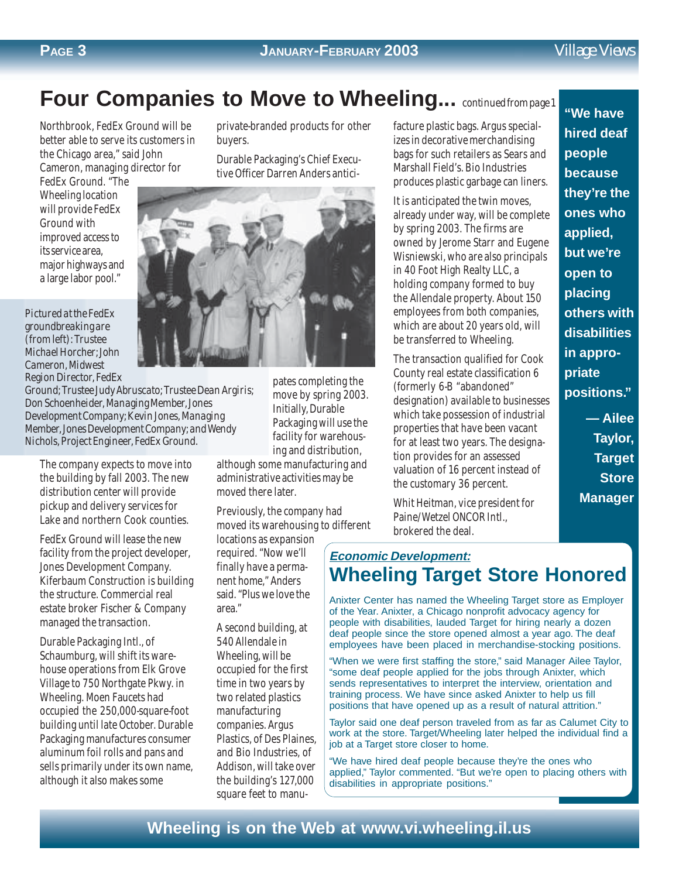#### **PAGE 3**

# **Four Companies to Move to Wheeling...** *continued from page 1*

Northbrook, FedEx Ground will be better able to serve its customers in the Chicago area," said John Cameron, managing director for

FedEx Ground. "The Wheeling location will provide FedEx Ground with improved access to its service area, major highways and a large labor pool."

*Pictured at the FedEx groundbreaking are (from left): Trustee Michael Horcher; John Cameron, Midwest Region Director, FedEx*

*Ground; Trustee Judy Abruscato; Trustee Dean Argiris; Don Schoenheider, Managing Member, Jones Development Company; Kevin Jones, Managing Member, Jones Development Company; and Wendy Nichols, Project Engineer, FedEx Ground.*

The company expects to move into the building by fall 2003. The new distribution center will provide pickup and delivery services for Lake and northern Cook counties.

FedEx Ground will lease the new facility from the project developer, Jones Development Company. Kiferbaum Construction is building the structure. Commercial real estate broker Fischer & Company managed the transaction.

Durable Packaging Intl., of Schaumburg, will shift its warehouse operations from Elk Grove Village to 750 Northgate Pkwy. in Wheeling. Moen Faucets had occupied the 250,000-square-foot building until late October. Durable Packaging manufactures consumer aluminum foil rolls and pans and sells primarily under its own name, although it also makes some

private-branded products for other buyers.

Durable Packaging's Chief Executive Officer Darren Anders antici-



pates completing the move by spring 2003. Initially, Durable Packaging will use the facility for warehousing and distribution,

although some manufacturing and administrative activities may be moved there later.

Previously, the company had moved its warehousing to different

locations as expansion required. "Now we'll finally have a permanent home," Anders said. "Plus we love the area."

A second building, at 540 Allendale in Wheeling, will be occupied for the first time in two years by two related plastics manufacturing companies. Argus Plastics, of Des Plaines, and Bio Industries, of Addison, will take over the building's 127,000 square feet to manufacture plastic bags. Argus specializes in decorative merchandising bags for such retailers as Sears and Marshall Field's. Bio Industries produces plastic garbage can liners.

It is anticipated the twin moves, already under way, will be complete by spring 2003. The firms are owned by Jerome Starr and Eugene Wisniewski, who are also principals in 40 Foot High Realty LLC, a holding company formed to buy the Allendale property. About 150 employees from both companies, which are about 20 years old, will be transferred to Wheeling.

The transaction qualified for Cook County real estate classification 6 (formerly 6-B "abandoned" designation) available to businesses which take possession of industrial properties that have been vacant for at least two years. The designation provides for an assessed valuation of 16 percent instead of the customary 36 percent.

Whit Heitman, vice president for Paine/Wetzel ONCOR Intl., brokered the deal.

### **"We have hired deaf people because they're the ones who applied, but we're open to placing others with disabilities in appropriate positions." — Ailee**

**Taylor, Target Store Manager**

### **Economic Development: Wheeling Target Store Honored**

Anixter Center has named the Wheeling Target store as Employer of the Year. Anixter, a Chicago nonprofit advocacy agency for people with disabilities, lauded Target for hiring nearly a dozen deaf people since the store opened almost a year ago. The deaf employees have been placed in merchandise-stocking positions.

"When we were first staffing the store," said Manager Ailee Taylor, "some deaf people applied for the jobs through Anixter, which sends representatives to interpret the interview, orientation and training process. We have since asked Anixter to help us fill positions that have opened up as a result of natural attrition."

Taylor said one deaf person traveled from as far as Calumet City to work at the store. Target/Wheeling later helped the individual find a job at a Target store closer to home.

"We have hired deaf people because they're the ones who applied," Taylor commented. "But we're open to placing others with disabilities in appropriate positions."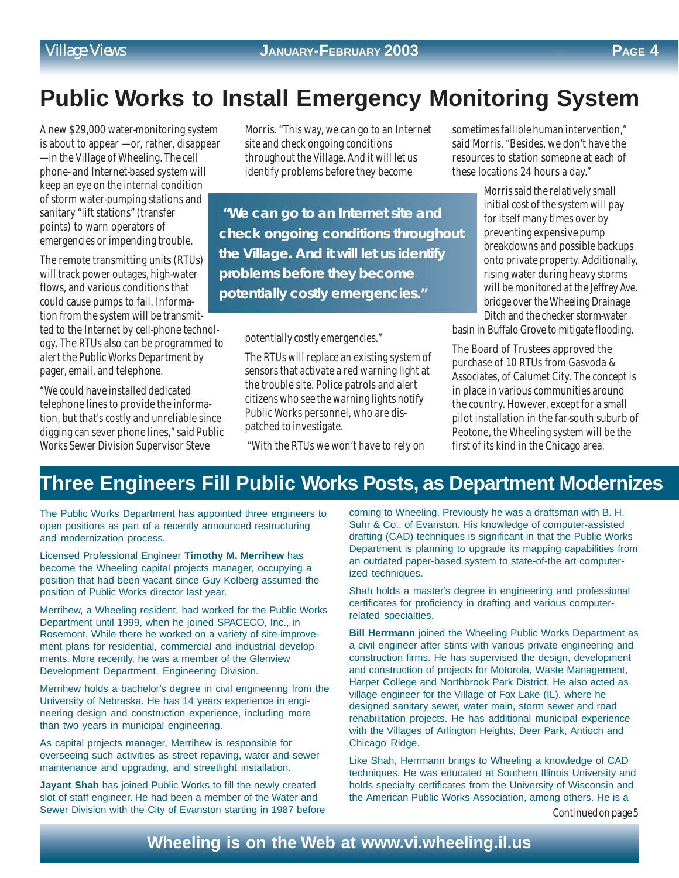# **Public Works to Install Emergency Monitoring System**

A new \$29,000 water-monitoring system is about to appear — or, rather, disappear — in the Village of Wheeling. The cell phone- and Internet-based system will keep an eye on the internal condition of storm water-pumping stations and sanitary "lift stations" (transfer points) to warn operators of emergencies or impending trouble.

The remote transmitting units (RTUs) will track power outages, high-water flows, and various conditions that could cause pumps to fail. Information from the system will be transmitted to the Internet by cell-phone technology. The RTUs also can be programmed to alert the Public Works Department by pager, email, and telephone.

"We could have installed dedicated telephone lines to provide the information, but that's costly and unreliable since digging can sever phone lines," said Public Works Sewer Division Supervisor Steve

Morris. "This way, we can go to an Internet site and check ongoing conditions throughout the Village. And it will let us identify problems before they become

 **"We can go to an Internet site and check ongoing conditions throughout the Village. And it will let us identify problems before they become potentially costly emergencies."**

potentially costly emergencies."

The RTUs will replace an existing system of sensors that activate a red warning light at the trouble site. Police patrols and alert citizens who see the warning lights notify Public Works personnel, who are dispatched to investigate.

"With the RTUs we won't have to rely on

sometimes fallible human intervention," said Morris. "Besides, we don't have the resources to station someone at each of these locations 24 hours a day."

> Morris said the relatively small initial cost of the system will pay for itself many times over by preventing expensive pump breakdowns and possible backups onto private property. Additionally, rising water during heavy storms will be monitored at the Jeffrey Ave. bridge over the Wheeling Drainage Ditch and the checker storm-water

basin in Buffalo Grove to mitigate flooding.

The Board of Trustees approved the purchase of 10 RTUs from Gasvoda & Associates, of Calumet City. The concept is in place in various communities around the country. However, except for a small pilot installation in the far-south suburb of Peotone, the Wheeling system will be the first of its kind in the Chicago area.

## **Three Engineers Fill Public Works Posts, as Department Modernizes**

The Public Works Department has appointed three engineers to open positions as part of a recently announced restructuring and modernization process.

Licensed Professional Engineer **Timothy M. Merrihew** has become the Wheeling capital projects manager, occupying a position that had been vacant since Guy Kolberg assumed the position of Public Works director last year.

Merrihew, a Wheeling resident, had worked for the Public Works Department until 1999, when he joined SPACECO, Inc., in Rosemont. While there he worked on a variety of site-improvement plans for residential, commercial and industrial developments. More recently, he was a member of the Glenview Development Department, Engineering Division.

Merrihew holds a bachelor's degree in civil engineering from the University of Nebraska. He has 14 years experience in engineering design and construction experience, including more than two years in municipal engineering.

As capital projects manager, Merrihew is responsible for overseeing such activities as street repaving, water and sewer maintenance and upgrading, and streetlight installation.

**Jayant Shah** has joined Public Works to fill the newly created slot of staff engineer. He had been a member of the Water and Sewer Division with the City of Evanston starting in 1987 before coming to Wheeling. Previously he was a draftsman with B. H. Suhr & Co., of Evanston. His knowledge of computer-assisted drafting (CAD) techniques is significant in that the Public Works Department is planning to upgrade its mapping capabilities from an outdated paper-based system to state-of-the art computerized techniques.

Shah holds a master's degree in engineering and professional certificates for proficiency in drafting and various computerrelated specialties.

**Bill Herrmann** joined the Wheeling Public Works Department as a civil engineer after stints with various private engineering and construction firms. He has supervised the design, development and construction of projects for Motorola, Waste Management, Harper College and Northbrook Park District. He also acted as village engineer for the Village of Fox Lake (IL), where he designed sanitary sewer, water main, storm sewer and road rehabilitation projects. He has additional municipal experience with the Villages of Arlington Heights, Deer Park, Antioch and Chicago Ridge.

Like Shah, Herrmann brings to Wheeling a knowledge of CAD techniques. He was educated at Southern Illinois University and holds specialty certificates from the University of Wisconsin and the American Public Works Association, among others. He is a

*Continued on page 5*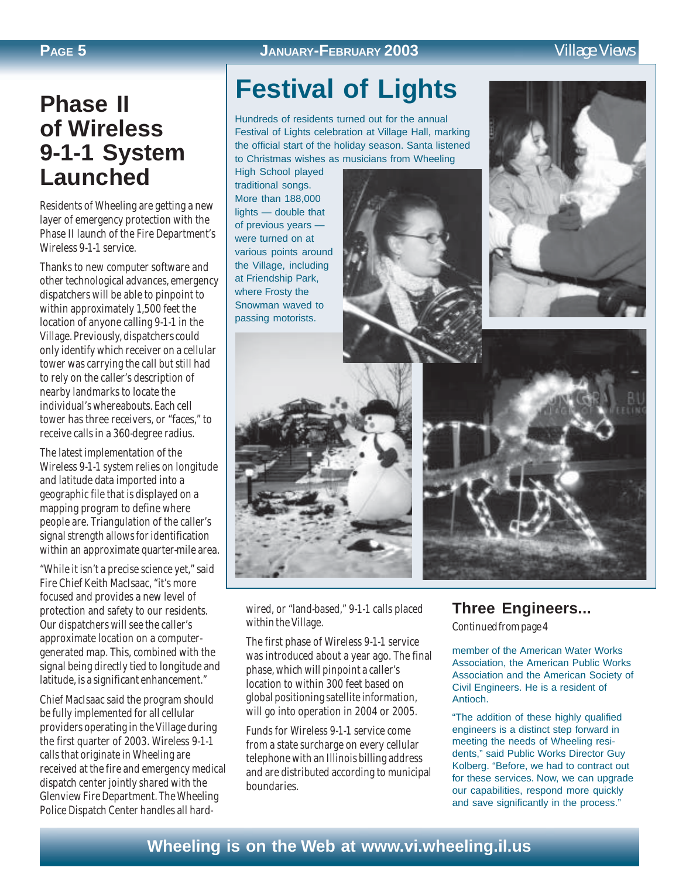### **PAGE 5 JANUARY-FEBRUARY 2003** *Village Views*

# **Phase II of Wireless 9-1-1 System Launched**

Residents of Wheeling are getting a new layer of emergency protection with the Phase II launch of the Fire Department's Wireless 9-1-1 service.

Thanks to new computer software and other technological advances, emergency dispatchers will be able to pinpoint to within approximately 1,500 feet the location of anyone calling 9-1-1 in the Village. Previously, dispatchers could only identify which receiver on a cellular tower was carrying the call but still had to rely on the caller's description of nearby landmarks to locate the individual's whereabouts. Each cell tower has three receivers, or "faces," to receive calls in a 360-degree radius.

The latest implementation of the Wireless 9-1-1 system relies on longitude and latitude data imported into a geographic file that is displayed on a mapping program to define where people are. Triangulation of the caller's signal strength allows for identification within an approximate quarter-mile area.

"While it isn't a precise science yet," said Fire Chief Keith MacIsaac, "it's more focused and provides a new level of protection and safety to our residents. Our dispatchers will see the caller's approximate location on a computergenerated map. This, combined with the signal being directly tied to longitude and latitude, is a significant enhancement."

Chief MacIsaac said the program should be fully implemented for all cellular providers operating in the Village during the first quarter of 2003. Wireless 9-1-1 calls that originate in Wheeling are received at the fire and emergency medical dispatch center jointly shared with the Glenview Fire Department. The Wheeling Police Dispatch Center handles all hard-

# **Festival of Lights**

Hundreds of residents turned out for the annual Festival of Lights celebration at Village Hall, marking the official start of the holiday season. Santa listened to Christmas wishes as musicians from Wheeling

High School played traditional songs. More than 188,000 lights — double that of previous years were turned on at various points around the Village, including at Friendship Park, where Frosty the Snowman waved to passing motorists.







wired, or "land-based," 9-1-1 calls placed within the Village.

The first phase of Wireless 9-1-1 service was introduced about a year ago. The final phase, which will pinpoint a caller's location to within 300 feet based on global positioning satellite information, will go into operation in 2004 or 2005.

Funds for Wireless 9-1-1 service come from a state surcharge on every cellular telephone with an Illinois billing address and are distributed according to municipal boundaries.

### **Three Engineers...**

*Continued from page 4*

member of the American Water Works Association, the American Public Works Association and the American Society of Civil Engineers. He is a resident of Antioch.

"The addition of these highly qualified engineers is a distinct step forward in meeting the needs of Wheeling residents," said Public Works Director Guy Kolberg. "Before, we had to contract out for these services. Now, we can upgrade our capabilities, respond more quickly and save significantly in the process."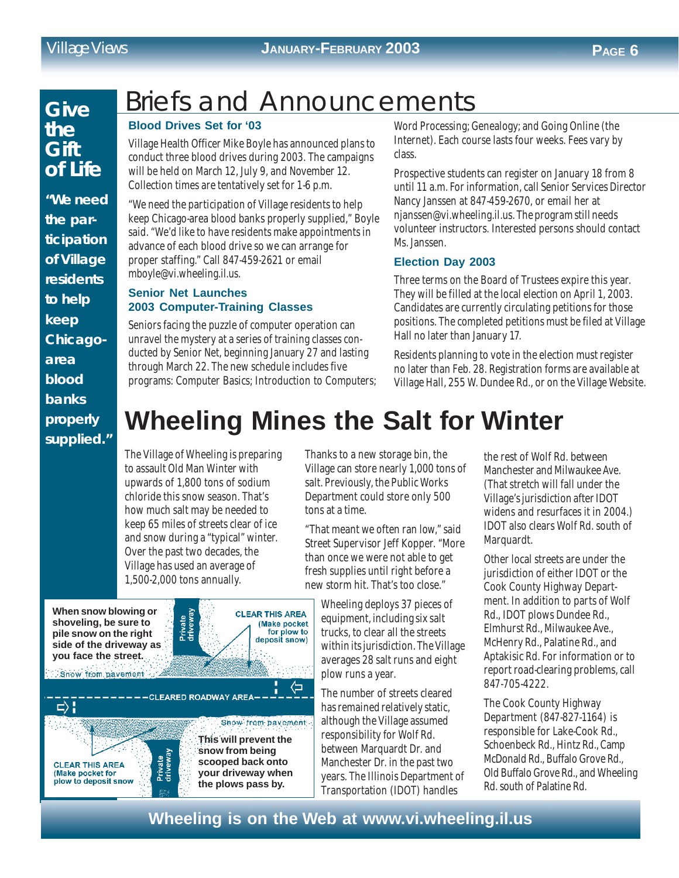#### *Village Views* **JANUARY-FEBRUARY 2003 PAGE 6**

### **Give the Gift of Life**

**"We need the participation of Village residents to help keep Chicagoarea blood banks properly supplied."**

# Briefs and Announcements

#### **Blood Drives Set for '03**

Village Health Officer Mike Boyle has announced plans to conduct three blood drives during 2003. The campaigns will be held on March 12, July 9, and November 12. Collection times are tentatively set for 1-6 p.m.

"We need the participation of Village residents to help keep Chicago-area blood banks properly supplied," Boyle said. "We'd like to have residents make appointments in advance of each blood drive so we can arrange for proper staffing." Call 847-459-2621 or email mboyle@vi.wheeling.il.us.

#### **Senior Net Launches 2003 Computer-Training Classes**

Seniors facing the puzzle of computer operation can unravel the mystery at a series of training classes conducted by Senior Net, beginning January 27 and lasting through March 22. The new schedule includes five programs: Computer Basics; Introduction to Computers; Word Processing; Genealogy; and Going Online (the Internet). Each course lasts four weeks. Fees vary by class.

Prospective students can register on January 18 from 8 until 11 a.m. For information, call Senior Services Director Nancy Janssen at 847-459-2670, or email her at njanssen@vi.wheeling.il.us. The program still needs volunteer instructors. Interested persons should contact Ms. Janssen.

#### **Election Day 2003**

Three terms on the Board of Trustees expire this year. They will be filled at the local election on April 1, 2003. Candidates are currently circulating petitions for those positions. The completed petitions must be filed at Village Hall no later than January 17.

Residents planning to vote in the election must register no later than Feb. 28. Registration forms are available at Village Hall, 255 W. Dundee Rd., or on the Village Website.

# **Wheeling Mines the Salt for Winter**

The Village of Wheeling is preparing to assault Old Man Winter with upwards of 1,800 tons of sodium chloride this snow season. That's how much salt may be needed to keep 65 miles of streets clear of ice and snow during a "typical" winter. Over the past two decades, the Village has used an average of 1,500-2,000 tons annually.

-CLEARED ROADWAY AREA-

Private<br>driveway

**When snow blowing or shoveling, be sure to pile snow on the right side of the driveway as you face the street.**

Show from pavement

**CLEAR THIS AREA** (Make pocket for plow to deposit snow

 $\Rightarrow$ 



**This will prevent the snow from being scooped back onto your driveway when the plows pass by.**

Show from payement.

Thanks to a new storage bin, the Village can store nearly 1,000 tons of salt. Previously, the Public Works Department could store only 500 tons at a time.

"That meant we often ran low," said Street Supervisor Jeff Kopper. "More than once we were not able to get fresh supplies until right before a new storm hit. That's too close."

Wheeling deploys 37 pieces of equipment, including six salt trucks, to clear all the streets within its jurisdiction. The Village averages 28 salt runs and eight plow runs a year.

The number of streets cleared has remained relatively static, although the Village assumed responsibility for Wolf Rd. between Marquardt Dr. and Manchester Dr. in the past two years. The Illinois Department of Transportation (IDOT) handles

the rest of Wolf Rd. between Manchester and Milwaukee Ave. (That stretch will fall under the Village's jurisdiction after IDOT widens and resurfaces it in 2004.) IDOT also clears Wolf Rd. south of Marquardt.

Other local streets are under the jurisdiction of either IDOT or the Cook County Highway Department. In addition to parts of Wolf Rd., IDOT plows Dundee Rd., Elmhurst Rd., Milwaukee Ave., McHenry Rd., Palatine Rd., and Aptakisic Rd. For information or to report road-clearing problems, call 847-705-4222.

The Cook County Highway Department (847-827-1164) is responsible for Lake-Cook Rd., Schoenbeck Rd., Hintz Rd., Camp McDonald Rd., Buffalo Grove Rd., Old Buffalo Grove Rd., and Wheeling Rd. south of Palatine Rd.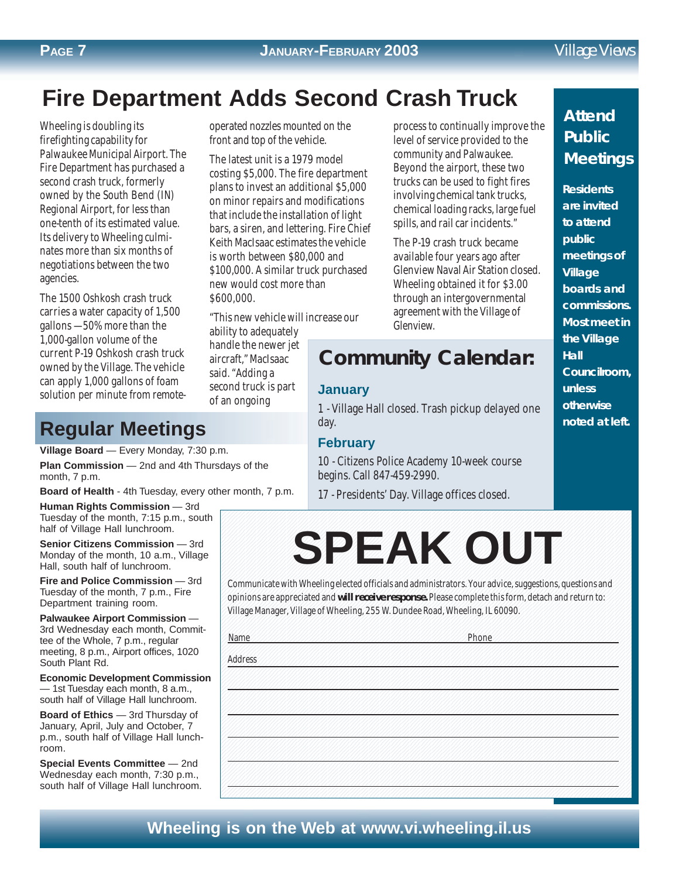# **Fire Department Adds Second Crash Truck**

Wheeling is doubling its firefighting capability for Palwaukee Municipal Airport. The Fire Department has purchased a second crash truck, formerly owned by the South Bend (IN) Regional Airport, for less than one-tenth of its estimated value. Its delivery to Wheeling culminates more than six months of negotiations between the two agencies.

The 1500 Oshkosh crash truck carries a water capacity of 1,500 gallons — 50% more than the 1,000-gallon volume of the current P-19 Oshkosh crash truck owned by the Village. The vehicle can apply 1,000 gallons of foam solution per minute from remote-

operated nozzles mounted on the front and top of the vehicle.

The latest unit is a 1979 model costing \$5,000. The fire department plans to invest an additional \$5,000 on minor repairs and modifications that include the installation of light bars, a siren, and lettering. Fire Chief Keith MacIsaac estimates the vehicle is worth between \$80,000 and \$100,000. A similar truck purchased new would cost more than \$600,000.

"This new vehicle will increase our

ability to adequately handle the newer jet aircraft," MacIsaac said. "Adding a second truck is part of an ongoing

process to continually improve the level of service provided to the community and Palwaukee. Beyond the airport, these two trucks can be used to fight fires involving chemical tank trucks, chemical loading racks, large fuel spills, and rail car incidents."

The P-19 crash truck became available four years ago after Glenview Naval Air Station closed. Wheeling obtained it for \$3.00 through an intergovernmental agreement with the Village of Glenview.

# **Community Calendar: Community Calendar:**

#### **January**

1 - Village Hall closed. Trash pickup delayed one day.

#### **February**

10 - Citizens Police Academy 10-week course begins. Call 847-459-2990.

17 - Presidents' Day. Village offices closed.

### **Attend Public Meetings**

**Residents are invited to attend public meetings of Village boards and commissions. Most meet in the Village Hall Councilroom, unless otherwise noted at left.**

## **Regular Meetings**

**Village Board** — Every Monday, 7:30 p.m. **Plan Commission** — 2nd and 4th Thursdays of the

month, 7 p.m.

**Board of Health** - 4th Tuesday, every other month, 7 p.m.

**Human Rights Commission** — 3rd Tuesday of the month, 7:15 p.m., south half of Village Hall lunchroom.

**Senior Citizens Commission** - 3rd Monday of the month, 10 a.m., Village Hall, south half of lunchroom.

**Fire and Police Commission** — 3rd Tuesday of the month, 7 p.m., Fire Department training room.

**Palwaukee Airport Commission** — 3rd Wednesday each month, Committee of the Whole, 7 p.m., regular meeting, 8 p.m., Airport offices, 1020 South Plant Rd.

**Economic Development Commission** — 1st Tuesday each month, 8 a.m., south half of Village Hall lunchroom.

**Board of Ethics** — 3rd Thursday of January, April, July and October, 7 p.m., south half of Village Hall lunchroom.

**Special Events Committee** — 2nd Wednesday each month, 7:30 p.m., south half of Village Hall lunchroom. 123456789012345678901234567890121234567890123456789012345678901212345678901234567890123456789012123456789012345 123456789012345678901234567890121234567890123456789012345678901212345678901234567890123456789012123456789012345 SPEAK OUT 12345678901234567890123456789012123<del>34567890123458</del>902345<del>78001212345</del>678901234567890123456789012123456789012123456 123456789012345678901234567890121234567890123456789012345678901212345678901234567890123456789012123456789012345 123456789012345678901234567890121234567890123456789012345678901212345678901234567890123456789012123456789012345 **SPEAK OUT**

123456789012345678901234567890121234567890123456789012345678901212345678901234567890123456789012123456789012345

123456789012345678901234567890121234567890123456789012345678901212345678901234567890123456789012123456789012345 123456789012345678901234567890121234567890123456789012345678901212345678901234567890123456789012123456789012345 123456789012345678901234567890121234567890123456789012345678901212345678901234567890123456789012123456789012345 123456789012345678901234567890121234567890123456789012345678901212345678901234567890123456789012123456789012345

123456789012345678901234567890121234567890123456789012345678901212345678901234567890123456789012123456789012345

123456789012345678901234567890121234567890123456789012345678901212345678901234567890123456789012123456789012345 1 5 123456789012345678901234567890121234567890123456789012345678901212345678901234567890123456789012123456789012345 1 5 123456789012345678901234567890121234567890123456789012345678901212345678901234567890123456789012123456789012345 123456789012345678901234567890121234567890123456789012345678901212345678901234567890123456789012123456789012345 123456789012345678901234567890121234567890123456789012345678901212345678901234567890123456789012123456789012345 123456789012345678901234567890121234567890123456789012345678901212345678901234567890123456789012123456789012345 1 5 123456789012345678901234567890121234567890123456789012345678901212345678901234567890123456789012123456789012345 123456789012345678901234567890121234567890123456789012345678901212345678901234567890123456789012123456789012345 123456789012345678901234567890121234567890123456789012345678901212345678901234567890123456789012123456789012345 123456789012345678901234567890121234567890123456789012345678901212345678901234567890123456789012123456789012345 123456789012345678901234567890121234567890123456789012345678901212345678901234567890123456789012123456789012345 123456789012345678901234567890121234567890123456789012345678901212345678901234567890123456789012123456789012345 123456789012345678901234567890121234567890123456789012345678901212345678901234567890123456789012123456789012345 123456789012345678901234567890121234567890123456789012345678901212345678901234567890123456789012123456789012345 123456789012345678901234567890121234567890123456789012345678901212345678901234567890123456789012123456789012345 123456789012345678901234567890121234567890123456789012345678901212345678901234567890123456789012123456789012345 123456789012345678901234567890121234567890123456789012345678901212345678901234567890123456789012123456789012345 123456789012345678901234567890121234567890123456789012345678901212345678901234567890123456789012123456789012345 1 5 123456789012345678901234567890121234567890123456789012345678901212345678901234567890123456789012123456789012345 123456789012345678901234567890121234567890123456789012345678901212345678901234567890123456789012123456789012345 123456789012345678901234567890121234567890123456789012345678901212345678901234567890123456789012123456789012345 123456789012345678901234567890121234567890123456789012345678901212345678901234567890123456789012123456789012345 123456789012345678901234567890121234567890123456789012345678901212345678901234567890123456789012123456789012345 123456789012345678901234567890121234567890123456789012345678901212345678901234567890123456789012123456789012345 1 5 123456789012345678901234567890121234567890123456789012345678901212345678901234567890123456789012123456789012345 123456789012345678901234567890121234567890123456789012345678901212345678901234567890123456789012123456789012345 1 5 123456789012345678901234567890121234567890123456789012345678901212345678901234567890123456789012123456789012345 123456789012345678901234567890121234567890123456789012345678901212345678901234567890123456789012123456789012345 123456789012345678901234567890121234567890123456789012345678901212345678901234567890123456789012123456789012345 123456789012345678901234567890121234567890123456789012345678901212345678901234567890123456789012123456789012345

123456789012345678901234567890121234567890123456789012345678901212345678901234567890123456789012123456789012345 123456789012345678901234567890121234567890123456789012345678901212345678901234567890123456789012123456789012345 123456789012345678901234567890121234567890123456789012345678901212345678901234567890123456789012123456789012345 123456789012345678901234567890121234567890123456789012345678901212345678901234567890123456789012123456789012345

Communicate with Wheeling elected officials and administrators. Your advice, suggestions, questions and 123456789012345678901234567890121234567890123456789012345678901212345678901234567890123456789012123456789012345 opinions are appreciated and will receive response. Please complete this form, detach and return to:  $\sim$ Village Manager, Village of Wheeling, 255 W. Dundee Road, Wheeling, IL 60090.

1 5 Name Phone

123456789012345678901234567890121234567890123456789012345678901212345678901234567890123456789012123456789012345 123456789012345678901234567890121234567890123456789012345678901212345678901234567890123456789012123456789012345 1 5 123456789012345678901234567890121234567890123456789012345678901212345678901234567890123456789012123456789012345 Address

123456789012345678901234567890121234567890123456789012345678901212345678901234567890123456789012123456789012345 123456789012345678901234567890121234567890123456789012345678901212345678901234567890123456789012123456789012345 123456789012345678901234567890121234567890123456789012345678901212345678901234567890123456789012123456789012345